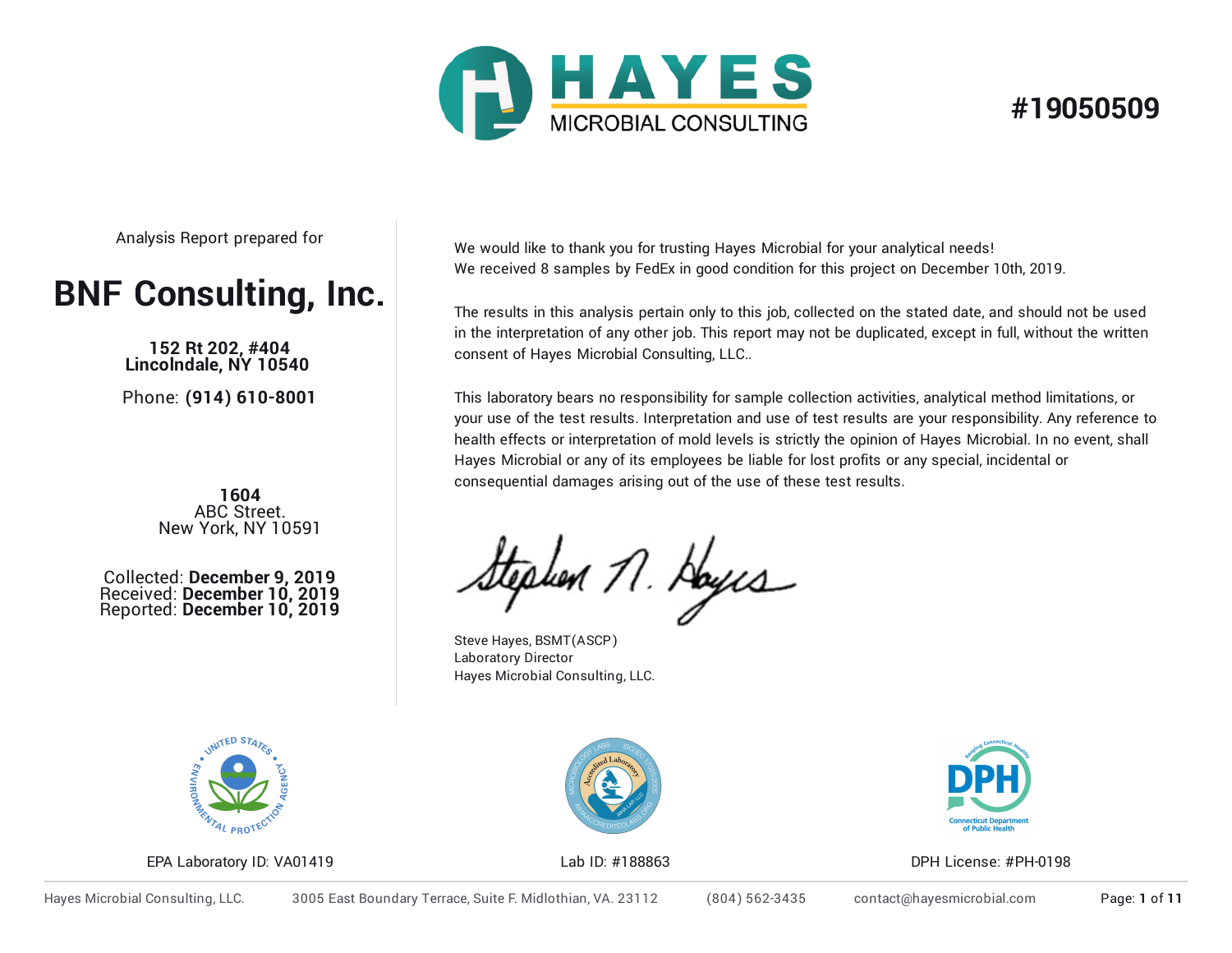

## **#19050509**

Analysis Report prepared for

# **BNF Consulting, Inc.**

**152 Rt 202, #404 Lincolndale, NY 10540**

Phone: **(914) 610-8001**

**1604**<br>**ABC Street.** New York, NY 10591

Collected: **December 9, 2019** Received: **December 10, 2019** Reported: **December 10, 2019** We would like to thank you for trusting Hayes Microbial for your analytical needs! We received 8 samples by FedEx in good condition for this project on December 10th, 2019.

The results in this analysis pertain only to this job, collected on the stated date, and should not be used in the interpretation of any other job. This report may not be duplicated, except in full, without the written consent of Hayes Microbial Consulting, LLC..

This laboratory bears no responsibility for sample collection activities, analytical method limitations, or your use of the test results. Interpretation and use of test results are your responsibility. Any reference to health effects or interpretation of mold levels is strictly the opinion of Hayes Microbial. In no event, shall Hayes Microbial or any of its employees be liable for lost profits or any special, incidental or consequential damages arising out of the use of these test results.

tephen 11. Hoyus

Steve Hayes, BSMT(ASCP) Laboratory Director Hayes Microbial Consulting, LLC.



EPA Laboratory ID: VA01419 Lab ID: #188863 DPH License: #PH-0198



Hayes Microbial Consulting, LLC. 3005 East Boundary Terrace, Suite F. Midlothian, VA. 23112 (804) 562-3435 contact@hayesmicrobial.com Page: **1** of **11**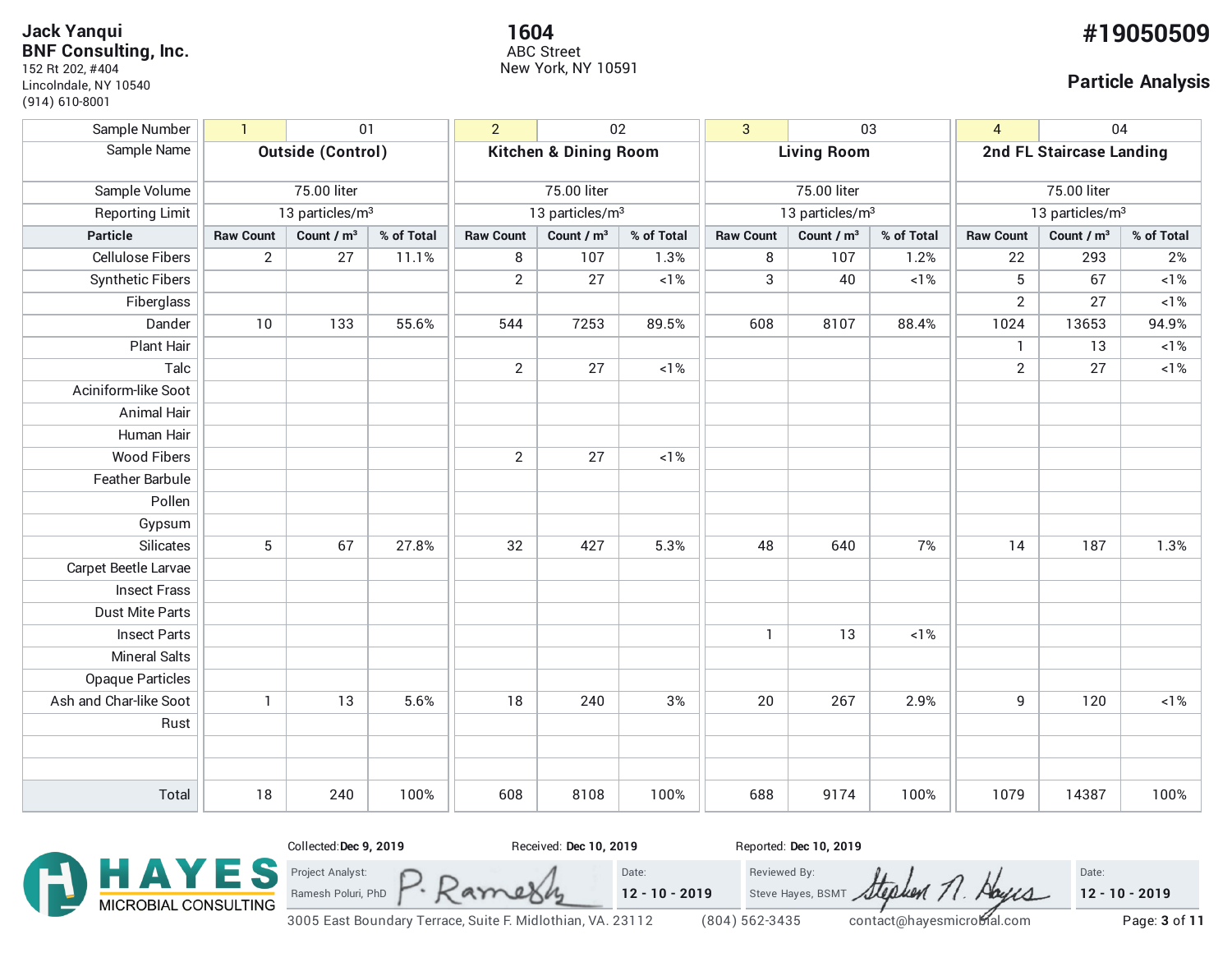12/10/2019 Hayes Microbial - Report **Jack Yanqui BNF Consulting, Inc.**

152 Rt 202, #404 Lincolndale, NY 10540 (914) 610-8001

**1604 #19050509** ABC Street New York, NY 10591

#### **Particle Analysis**

| Sample Number           | $\overline{1}$<br>01        |                        | 02<br>$\overline{2}$        |                                  | 03<br>$\overline{3}$   |                             | 04<br>4          |                          |                             |                  |                        |            |
|-------------------------|-----------------------------|------------------------|-----------------------------|----------------------------------|------------------------|-----------------------------|------------------|--------------------------|-----------------------------|------------------|------------------------|------------|
| Sample Name             | <b>Outside (Control)</b>    |                        |                             | <b>Kitchen &amp; Dining Room</b> |                        | <b>Living Room</b>          |                  | 2nd FL Staircase Landing |                             |                  |                        |            |
| Sample Volume           | 75.00 liter                 |                        | 75.00 liter                 |                                  | 75.00 liter            |                             |                  | 75.00 liter              |                             |                  |                        |            |
| <b>Reporting Limit</b>  | 13 particles/m <sup>3</sup> |                        | 13 particles/m <sup>3</sup> |                                  |                        | 13 particles/m <sup>3</sup> |                  |                          | 13 particles/m <sup>3</sup> |                  |                        |            |
| <b>Particle</b>         | <b>Raw Count</b>            | Count / m <sup>3</sup> | % of Total                  | <b>Raw Count</b>                 | Count / m <sup>3</sup> | % of Total                  | <b>Raw Count</b> | Count / m <sup>3</sup>   | % of Total                  | <b>Raw Count</b> | Count / m <sup>3</sup> | % of Total |
| <b>Cellulose Fibers</b> | $\overline{2}$              | 27                     | 11.1%                       | 8                                | 107                    | 1.3%                        | 8                | 107                      | 1.2%                        | 22               | 293                    | 2%         |
| <b>Synthetic Fibers</b> |                             |                        |                             | $\overline{2}$                   | 27                     | $<1\%$                      | 3                | 40                       | $<1\%$                      | 5                | 67                     | $<1\%$     |
| Fiberglass              |                             |                        |                             |                                  |                        |                             |                  |                          |                             | $\overline{2}$   | 27                     | $<1\%$     |
| Dander                  | 10                          | 133                    | 55.6%                       | 544                              | 7253                   | 89.5%                       | 608              | 8107                     | 88.4%                       | 1024             | 13653                  | 94.9%      |
| Plant Hair              |                             |                        |                             |                                  |                        |                             |                  |                          |                             | $\mathbf{1}$     | 13                     | $1\%$      |
| Talc                    |                             |                        |                             | $\mathbf{2}$                     | 27                     | $1\%$                       |                  |                          |                             | $\overline{2}$   | 27                     | ${<}1\%$   |
| Aciniform-like Soot     |                             |                        |                             |                                  |                        |                             |                  |                          |                             |                  |                        |            |
| Animal Hair             |                             |                        |                             |                                  |                        |                             |                  |                          |                             |                  |                        |            |
| Human Hair              |                             |                        |                             |                                  |                        |                             |                  |                          |                             |                  |                        |            |
| <b>Wood Fibers</b>      |                             |                        |                             | $\overline{2}$                   | 27                     | $<1\%$                      |                  |                          |                             |                  |                        |            |
| Feather Barbule         |                             |                        |                             |                                  |                        |                             |                  |                          |                             |                  |                        |            |
| Pollen                  |                             |                        |                             |                                  |                        |                             |                  |                          |                             |                  |                        |            |
| Gypsum                  |                             |                        |                             |                                  |                        |                             |                  |                          |                             |                  |                        |            |
| Silicates               | 5                           | 67                     | 27.8%                       | 32                               | 427                    | 5.3%                        | 48               | 640                      | 7%                          | 14               | 187                    | 1.3%       |
| Carpet Beetle Larvae    |                             |                        |                             |                                  |                        |                             |                  |                          |                             |                  |                        |            |
| <b>Insect Frass</b>     |                             |                        |                             |                                  |                        |                             |                  |                          |                             |                  |                        |            |
| <b>Dust Mite Parts</b>  |                             |                        |                             |                                  |                        |                             |                  |                          |                             |                  |                        |            |
| <b>Insect Parts</b>     |                             |                        |                             |                                  |                        |                             | $\mathbf{1}$     | 13                       | $<1\%$                      |                  |                        |            |
| <b>Mineral Salts</b>    |                             |                        |                             |                                  |                        |                             |                  |                          |                             |                  |                        |            |
| <b>Opaque Particles</b> |                             |                        |                             |                                  |                        |                             |                  |                          |                             |                  |                        |            |
| Ash and Char-like Soot  | $\mathbf{1}$                | 13                     | 5.6%                        | 18                               | 240                    | $3\%$                       | 20               | 267                      | 2.9%                        | 9                | 120                    | $<1\%$     |
| Rust                    |                             |                        |                             |                                  |                        |                             |                  |                          |                             |                  |                        |            |
|                         |                             |                        |                             |                                  |                        |                             |                  |                          |                             |                  |                        |            |
|                         |                             |                        |                             |                                  |                        |                             |                  |                          |                             |                  |                        |            |
| Total                   | 18                          | 240                    | 100%                        | 608                              | 8108                   | 100%                        | 688              | 9174                     | 100%                        | 1079             | 14387                  | 100%       |

Date:

**12 - 10 - 2019**



file:///tmp/amberjob\_190505091.html 3/11 3005 East Boundary Terrace, Suite F. Midlothian, VA. 23112 (804) 562-3435 contact@hayesmicrobial.com Page: **3** of **11**

am

 $\mathcal{A}$ 

Reviewed By:

Steve Hayes, BSMT Stephen 71. Abyca

Date: **12 - 10 - 2019**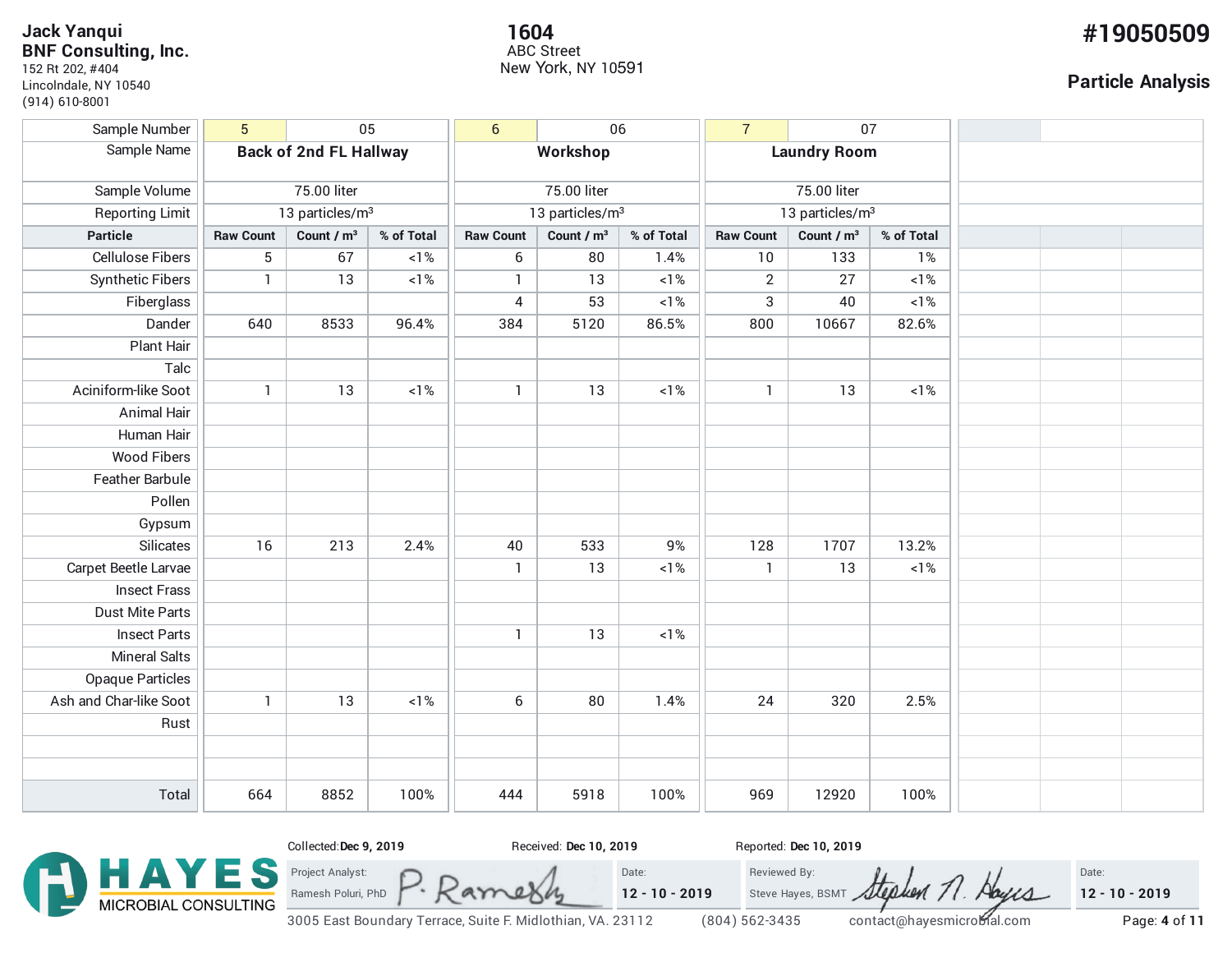### 12/10/2019 Hayes Microbial - Report **Jack Yanqui BNF Consulting, Inc.**

152 Rt 202, #404 Lincolndale, NY 10540 (914) 610-8001

#### **1604 #19050509** ABC Street New York, NY 10591

### **Particle Analysis**

| Sample Number           | $5\phantom{.0}$               |                        | 05                          | $6\phantom{a}$   | 06                          |            | $\overline{7}$   | 07                     |            |  |  |
|-------------------------|-------------------------------|------------------------|-----------------------------|------------------|-----------------------------|------------|------------------|------------------------|------------|--|--|
| Sample Name             | <b>Back of 2nd FL Hallway</b> |                        | Workshop                    |                  | <b>Laundry Room</b>         |            |                  |                        |            |  |  |
|                         |                               |                        |                             |                  |                             |            |                  |                        |            |  |  |
| Sample Volume           | 75.00 liter                   |                        | 75.00 liter                 |                  | 75.00 liter                 |            |                  |                        |            |  |  |
| Reporting Limit         | 13 particles/m <sup>3</sup>   |                        | 13 particles/m <sup>3</sup> |                  | 13 particles/m <sup>3</sup> |            |                  |                        |            |  |  |
| <b>Particle</b>         | <b>Raw Count</b>              | Count / m <sup>3</sup> | % of Total                  | <b>Raw Count</b> | Count / m <sup>3</sup>      | % of Total | <b>Raw Count</b> | Count / m <sup>3</sup> | % of Total |  |  |
| <b>Cellulose Fibers</b> | 5                             | 67                     | $<1\%$                      | 6                | 80                          | 1.4%       | 10               | 133                    | 1%         |  |  |
| <b>Synthetic Fibers</b> | $\mathbf{1}$                  | 13                     | ${<}1\%$                    | $\mathbf{1}$     | 13                          | $<1\%$     | $\overline{2}$   | 27                     | ${<}1\%$   |  |  |
| Fiberglass              |                               |                        |                             | 4                | 53                          | ${<}1\%$   | 3                | 40                     | $<1\%$     |  |  |
| Dander                  | 640                           | 8533                   | 96.4%                       | 384              | 5120                        | 86.5%      | 800              | 10667                  | 82.6%      |  |  |
| Plant Hair              |                               |                        |                             |                  |                             |            |                  |                        |            |  |  |
| Talc                    |                               |                        |                             |                  |                             |            |                  |                        |            |  |  |
| Aciniform-like Soot     | $\mathbf{1}$                  | 13                     | $<1\%$                      | $\mathbf{1}$     | 13                          | $<1\%$     | $\mathbf{1}$     | 13                     | $<1\%$     |  |  |
| Animal Hair             |                               |                        |                             |                  |                             |            |                  |                        |            |  |  |
| Human Hair              |                               |                        |                             |                  |                             |            |                  |                        |            |  |  |
| <b>Wood Fibers</b>      |                               |                        |                             |                  |                             |            |                  |                        |            |  |  |
| Feather Barbule         |                               |                        |                             |                  |                             |            |                  |                        |            |  |  |
| Pollen                  |                               |                        |                             |                  |                             |            |                  |                        |            |  |  |
| Gypsum                  |                               |                        |                             |                  |                             |            |                  |                        |            |  |  |
| Silicates               | 16                            | 213                    | 2.4%                        | 40               | 533                         | $9%$       | 128              | 1707                   | 13.2%      |  |  |
| Carpet Beetle Larvae    |                               |                        |                             | $\mathbf{1}$     | 13                          | $<1\%$     | $\mathbf{1}$     | 13                     | $<1\%$     |  |  |
| <b>Insect Frass</b>     |                               |                        |                             |                  |                             |            |                  |                        |            |  |  |
| <b>Dust Mite Parts</b>  |                               |                        |                             |                  |                             |            |                  |                        |            |  |  |
| <b>Insect Parts</b>     |                               |                        |                             | $\mathbf{1}$     | 13                          | $<1\%$     |                  |                        |            |  |  |
| <b>Mineral Salts</b>    |                               |                        |                             |                  |                             |            |                  |                        |            |  |  |
| <b>Opaque Particles</b> |                               |                        |                             |                  |                             |            |                  |                        |            |  |  |
| Ash and Char-like Soot  | $\mathbf{1}$                  | 13                     | $<1\%$                      | 6                | 80                          | 1.4%       | 24               | 320                    | 2.5%       |  |  |
| Rust                    |                               |                        |                             |                  |                             |            |                  |                        |            |  |  |
|                         |                               |                        |                             |                  |                             |            |                  |                        |            |  |  |
|                         |                               |                        |                             |                  |                             |            |                  |                        |            |  |  |
| Total                   | 664                           | 8852                   | 100%                        | 444              | 5918                        | 100%       | 969              | 12920                  | 100%       |  |  |

Date:

**12 - 10 - 2019**



file:///tmp/amberjob\_190505091.html 4/11 3005 East Boundary Terrace, Suite F. Midlothian, VA. 23112 (804) 562-3435 contact@hayesmicrobial.com Page: **4** of **11**

am

 $\overline{a}$ 

Project Analyst: Ramesh Poluri, PhD

Reviewed By:

hem 71

Abycs

Steve Hayes, BSMT

**12 - 10 - 2019**

Date: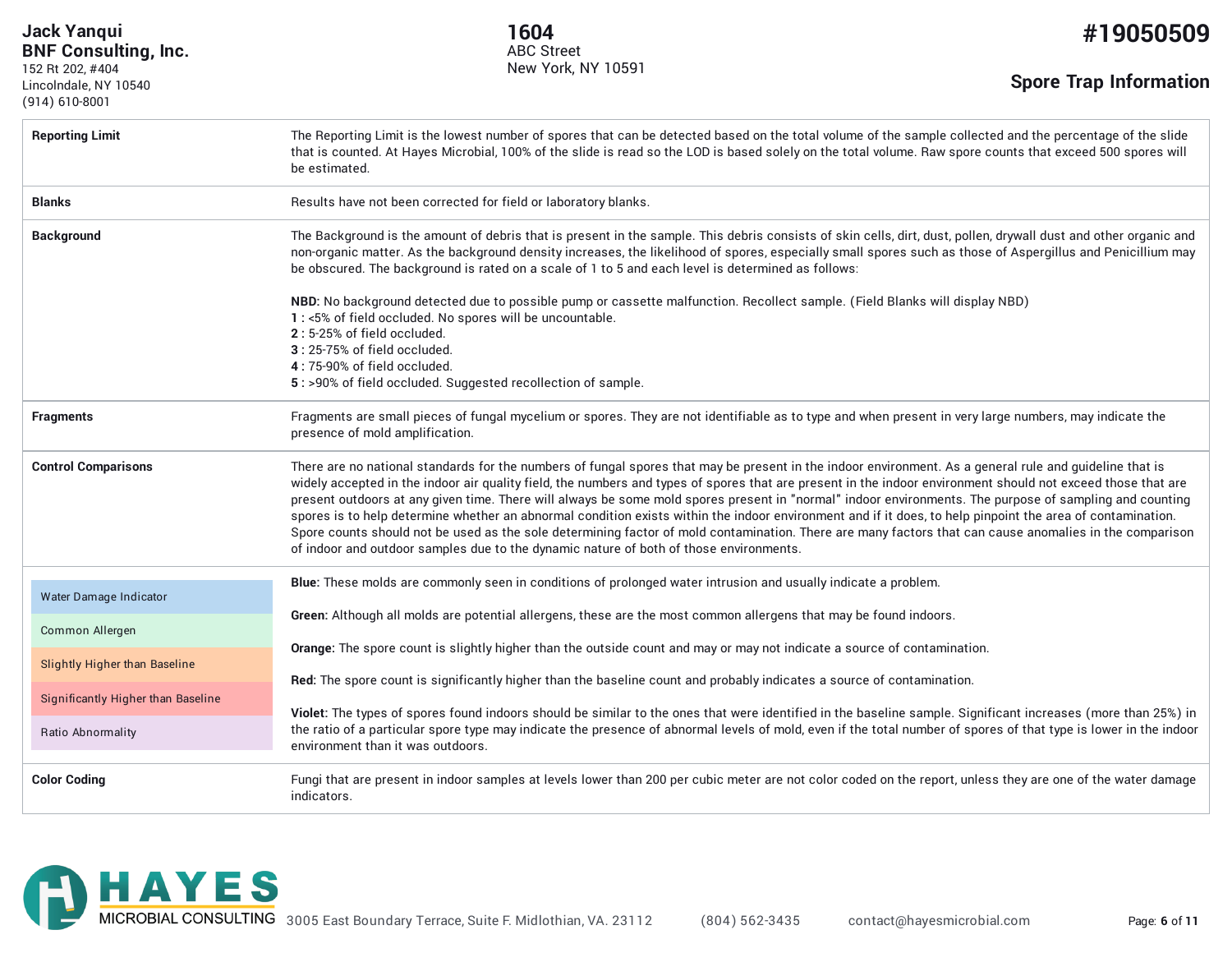12/10/2019 Hayes Microbial - Report **Jack Yanqui BNF Consulting, Inc.**

152 Rt 202, #404 Lincolndale, NY 10540 (914) 610-8001

**1604 #19050509** ABC Street New York, NY 10591

**Spore Trap Information**

| <b>Reporting Limit</b>             | The Reporting Limit is the lowest number of spores that can be detected based on the total volume of the sample collected and the percentage of the slide<br>that is counted. At Hayes Microbial, 100% of the slide is read so the LOD is based solely on the total volume. Raw spore counts that exceed 500 spores will<br>be estimated.                                                                                                                                                                                                                                                                                                                                                                                                                                                                                                                                                             |
|------------------------------------|-------------------------------------------------------------------------------------------------------------------------------------------------------------------------------------------------------------------------------------------------------------------------------------------------------------------------------------------------------------------------------------------------------------------------------------------------------------------------------------------------------------------------------------------------------------------------------------------------------------------------------------------------------------------------------------------------------------------------------------------------------------------------------------------------------------------------------------------------------------------------------------------------------|
| <b>Blanks</b>                      | Results have not been corrected for field or laboratory blanks.                                                                                                                                                                                                                                                                                                                                                                                                                                                                                                                                                                                                                                                                                                                                                                                                                                       |
| <b>Background</b>                  | The Background is the amount of debris that is present in the sample. This debris consists of skin cells, dirt, dust, pollen, drywall dust and other organic and<br>non-organic matter. As the background density increases, the likelihood of spores, especially small spores such as those of Aspergillus and Penicillium may<br>be obscured. The background is rated on a scale of 1 to 5 and each level is determined as follows:                                                                                                                                                                                                                                                                                                                                                                                                                                                                 |
|                                    | NBD: No background detected due to possible pump or cassette malfunction. Recollect sample. (Field Blanks will display NBD)<br>1 : <5% of field occluded. No spores will be uncountable.<br>2:5-25% of field occluded.<br>3:25-75% of field occluded.<br>4:75-90% of field occluded.<br>5: >90% of field occluded. Suggested recollection of sample.                                                                                                                                                                                                                                                                                                                                                                                                                                                                                                                                                  |
| <b>Fragments</b>                   | Fragments are small pieces of fungal mycelium or spores. They are not identifiable as to type and when present in very large numbers, may indicate the<br>presence of mold amplification.                                                                                                                                                                                                                                                                                                                                                                                                                                                                                                                                                                                                                                                                                                             |
| <b>Control Comparisons</b>         | There are no national standards for the numbers of fungal spores that may be present in the indoor environment. As a general rule and guideline that is<br>widely accepted in the indoor air quality field, the numbers and types of spores that are present in the indoor environment should not exceed those that are<br>present outdoors at any given time. There will always be some mold spores present in "normal" indoor environments. The purpose of sampling and counting<br>spores is to help determine whether an abnormal condition exists within the indoor environment and if it does, to help pinpoint the area of contamination.<br>Spore counts should not be used as the sole determining factor of mold contamination. There are many factors that can cause anomalies in the comparison<br>of indoor and outdoor samples due to the dynamic nature of both of those environments. |
| Water Damage Indicator             | Blue: These molds are commonly seen in conditions of prolonged water intrusion and usually indicate a problem.                                                                                                                                                                                                                                                                                                                                                                                                                                                                                                                                                                                                                                                                                                                                                                                        |
| Common Allergen                    | Green: Although all molds are potential allergens, these are the most common allergens that may be found indoors.<br>Orange: The spore count is slightly higher than the outside count and may or may not indicate a source of contamination.                                                                                                                                                                                                                                                                                                                                                                                                                                                                                                                                                                                                                                                         |
| Slightly Higher than Baseline      | Red: The spore count is significantly higher than the baseline count and probably indicates a source of contamination.                                                                                                                                                                                                                                                                                                                                                                                                                                                                                                                                                                                                                                                                                                                                                                                |
| Significantly Higher than Baseline | Violet: The types of spores found indoors should be similar to the ones that were identified in the baseline sample. Significant increases (more than 25%) in                                                                                                                                                                                                                                                                                                                                                                                                                                                                                                                                                                                                                                                                                                                                         |
| Ratio Abnormality                  | the ratio of a particular spore type may indicate the presence of abnormal levels of mold, even if the total number of spores of that type is lower in the indoor<br>environment than it was outdoors.                                                                                                                                                                                                                                                                                                                                                                                                                                                                                                                                                                                                                                                                                                |
| <b>Color Coding</b>                | Fungi that are present in indoor samples at levels lower than 200 per cubic meter are not color coded on the report, unless they are one of the water damage<br>indicators.                                                                                                                                                                                                                                                                                                                                                                                                                                                                                                                                                                                                                                                                                                                           |

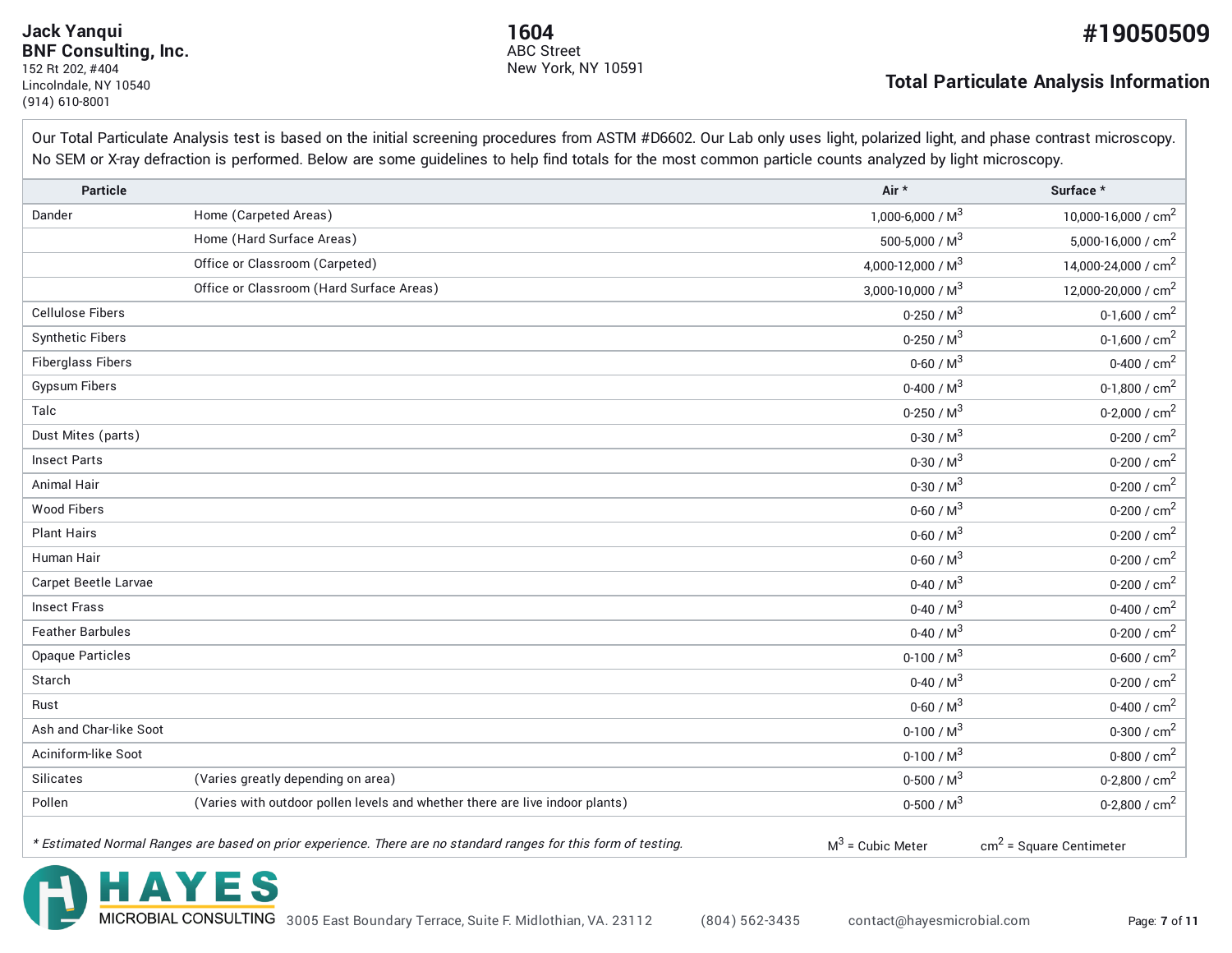#### 12/10/2019 Hayes Microbial - Report **Jack Yanqui BNF Consulting, Inc.** 152 Rt 202, #404 Lincolndale, NY 10540 (914) 610-8001

HAYES

New York, NY 10591 ABC Street

#### **Total Particulate Analysis Information**

Our Total Particulate Analysis test is based on the initial screening procedures from ASTM #D6602. Our Lab only uses light, polarized light, and phase contrast microscopy. No SEM or X-ray defraction is performed. Below are some guidelines to help find totals for the most common particle counts analyzed by light microscopy.

| <b>Particle</b>          |                                                                                                                 | Air *                | Surface *                       |
|--------------------------|-----------------------------------------------------------------------------------------------------------------|----------------------|---------------------------------|
| Dander                   | Home (Carpeted Areas)                                                                                           | 1,000-6,000 / $M^3$  | 10,000-16,000 / cm <sup>2</sup> |
|                          | Home (Hard Surface Areas)                                                                                       | 500-5,000 / $M^3$    | 5,000-16,000 / $cm2$            |
|                          | Office or Classroom (Carpeted)                                                                                  | 4,000-12,000 / $M^3$ | 14,000-24,000 / cm <sup>2</sup> |
|                          | Office or Classroom (Hard Surface Areas)                                                                        | 3,000-10,000 / $M^3$ | 12,000-20,000 / cm <sup>2</sup> |
| <b>Cellulose Fibers</b>  |                                                                                                                 | 0-250 / $M^3$        | 0-1,600 / $cm2$                 |
| <b>Synthetic Fibers</b>  |                                                                                                                 | $0-250 / M3$         | 0-1,600 / $cm2$                 |
| <b>Fiberglass Fibers</b> |                                                                                                                 | 0-60 / $M^3$         | 0-400 / $cm2$                   |
| <b>Gypsum Fibers</b>     |                                                                                                                 | 0-400 / $M^3$        | 0-1,800 / $cm2$                 |
| Talc                     |                                                                                                                 | $0-250/M^3$          | 0-2,000 / $cm2$                 |
| Dust Mites (parts)       |                                                                                                                 | 0-30 / $M^3$         | 0-200 / $cm2$                   |
| <b>Insect Parts</b>      |                                                                                                                 | 0-30 / $M^3$         | 0-200 / $cm2$                   |
| <b>Animal Hair</b>       |                                                                                                                 | $0-30/M^3$           | 0-200 / $cm2$                   |
| <b>Wood Fibers</b>       |                                                                                                                 | 0-60 / $M^3$         | 0-200 / $cm2$                   |
| <b>Plant Hairs</b>       |                                                                                                                 | 0-60 / $M^3$         | 0-200 / $cm2$                   |
| Human Hair               |                                                                                                                 | $0 - 60 / M3$        | 0-200 / $cm2$                   |
| Carpet Beetle Larvae     |                                                                                                                 | $0 - 40 / M3$        | 0-200 / $cm2$                   |
| <b>Insect Frass</b>      |                                                                                                                 | 0-40 / $M^3$         | 0-400 / $cm2$                   |
| <b>Feather Barbules</b>  |                                                                                                                 | 0-40 / $M^3$         | 0-200 / $cm2$                   |
| <b>Opaque Particles</b>  |                                                                                                                 | $0-100/M^3$          | 0-600 / ${\rm cm}^2$            |
| Starch                   |                                                                                                                 | 0-40 / $M^3$         | 0-200 / $cm2$                   |
| Rust                     |                                                                                                                 | 0-60 / $M^3$         | 0-400 / $cm2$                   |
| Ash and Char-like Soot   |                                                                                                                 | $0-100/M^3$          | 0-300 / $cm2$                   |
| Aciniform-like Soot      |                                                                                                                 | $0-100/M^3$          | 0-800 / $cm2$                   |
| Silicates                | (Varies greatly depending on area)                                                                              | $0-500 / M3$         | 0-2,800 / $cm2$                 |
| Pollen                   | (Varies with outdoor pollen levels and whether there are live indoor plants)                                    | 0-500 / $M^3$        | 0-2,800 / $cm2$                 |
|                          | * Estimated Normal Ranges are based on prior experience. There are no standard ranges for this form of testing. | $M^3$ = Cubic Meter  | $cm2$ = Square Centimeter       |